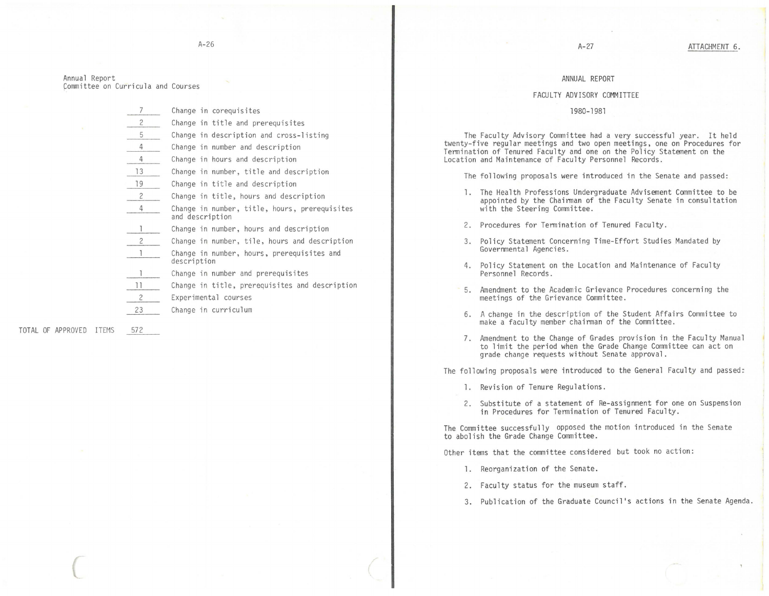## ANNUAL REPORT

## FACULTY ADVISORY COMMITTEE

## lg80-1981

The Faculty Advisory Committee had a very successful year. It held twenty-five regular meetings and two open meetings, one on Procedures for Termination of Tenured Faculty and one on the Policy Statement on the Location and Maintenance of Faculty Personnel Records.

The following proposals were introduced in the Senate and passed:

- l. The Health Professions Undergraduate Advisement Committee to be appointed by the Chairman of the Faculty Senate in consultation with the Steering Committee.
- 2. Procedures for Termination of Tenured Faculty.
- 3. Policy Statement Concerning Time-Effort Studies Mandated by Governmental Agencies.
- 4. Policy Statement on the Location and Maintenance of Faculty Personnel Records.
- 5. Amendment to the Academic Grievance Procedures concerning the meetings of the Grievance Committee.
- 6. A change in the description of the Student Affairs Committee to make a faculty member chairman of the Committee.
- 7. Amendment to the Change of Grades provision in the Faculty Manual to limit the period when the Grade Change Committee can act on grade change requests without Senate approval.

The following proposals were introduced to the General Faculty and passed:

- l. Revision of Tenure Regulations.
- 2. Substitute of a statement of Re-assignment for one on Suspension in Procedures for Termination of Tenured Faculty.

The Committee successfully opposed the motion introduced in the Senate to abolish the Grade Change Committee.

Other items that the committee considered but took no action:

- 1. Reorganization of the Senate.
- 2. Faculty status for the museum staff.
- 3. Publication of the Graduate Council's actions in the Senate Agenda.